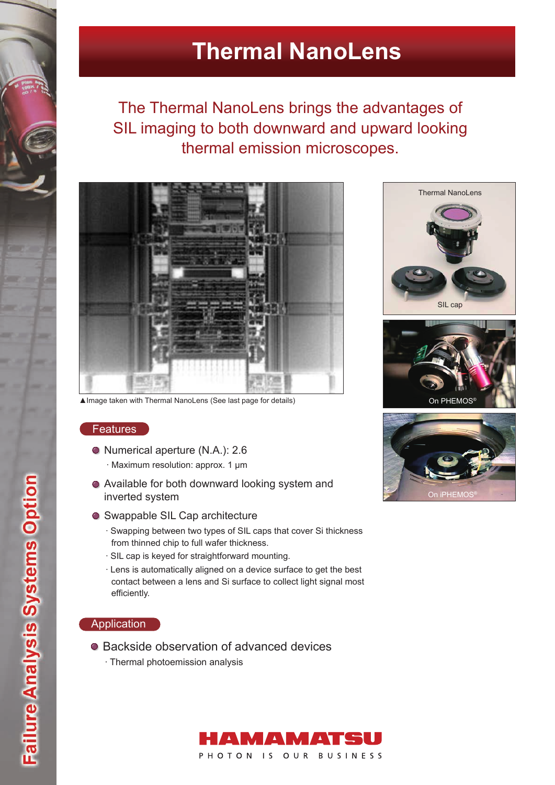# **Thermal NanoLens**

The Thermal NanoLens brings the advantages of SIL imaging to both downward and upward looking thermal emission microscopes.



▲Image taken with Thermal NanoLens (See last page for details) **On PHEMOS** 

### **Features**

- Numerical aperture (N.A.): 2.6
	- ∙ Maximum resolution: approx. 1 μm
- Available for both downward looking system and inverted system
- Swappable SIL Cap architecture
	- ∙ Swapping between two types of SIL caps that cover Si thickness from thinned chip to full wafer thickness.
	- ∙ SIL cap is keyed for straightforward mounting.
	- ∙ Lens is automatically aligned on a device surface to get the best contact between a lens and Si surface to collect light signal most efficiently.

## Application

- Backside observation of advanced devices
	- ∙ Thermal photoemission analysis